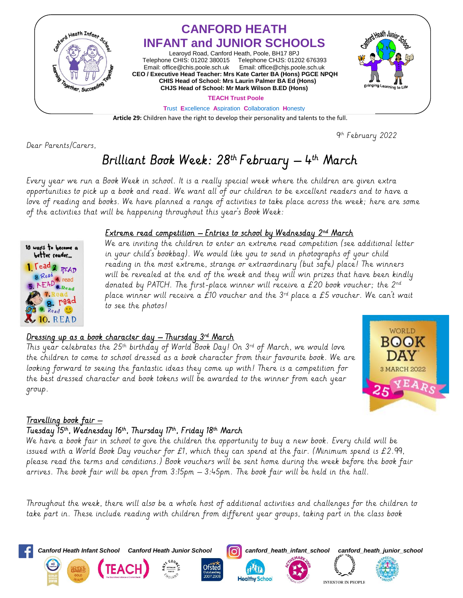

**Article 29:** Children have the right to develop their personality and talents to the full.

Dear Parents/Carers,

9 th February 2022

# Brilliant Book Week: 28<sup>th</sup> February — 4<sup>th</sup> March

Every year we run a Book Week in school. It is a really special week where the children are given extra opportunities to pick up a book and read. We want all of our children to be excellent readers and to have a love of reading and books. We have planned a range of activities to take place across the week; here are some of the activities that will be happening throughout this year's Book Week:



#### <u>Extreme read competition – Entries to school by Wednesday 2nª March </u>

We are inviting the children to enter an extreme read competition (see additional letter in your child's bookbag). We would like you to send in photographs of your child reading in the most extreme, strange or extraordinary (but safe) place! The winners will be revealed at the end of the week and they will win prizes that have been kindly donated by PATCH. The first-place winner will receive a £20 book voucher; the  $2^{nd}$ place winner will receive a £10 voucher and the  $3^{rd}$  place a £5 voucher. We can't wait to see the photos!

### <u>Dressing up as a book character day — Thursday 3<sup>rd</sup> March</u>

This year celebrates the 25th birthday of World Book Day! On 3rd of March, we would love the children to come to school dressed as a book character from their favourite book. We are looking forward to seeing the fantastic ideas they come up with! There is a competition for the best dressed character and book tokens will be awarded to the winner from each year group.



## <u>Travelling book fair –</u>

## Tuesday 15th, Wednesday 16th, Thursday 17th, Friday 18th March

We have a book fair in school to give the children the opportunity to buy a new book. Every child will be issued with a World Book Day voucher for £1, which they can spend at the fair. (Minimum spend is £2.99, please read the terms and conditions.) Book vouchers will be sent home during the week before the book fair arrives. The book fair will be open from 3:15pm – 3:45pm. The book fair will be held in the hall.

Throughout the week, there will also be a whole host of additional activities and challenges for the children to take part in. These include reading with children from different year groups, taking part in the class book